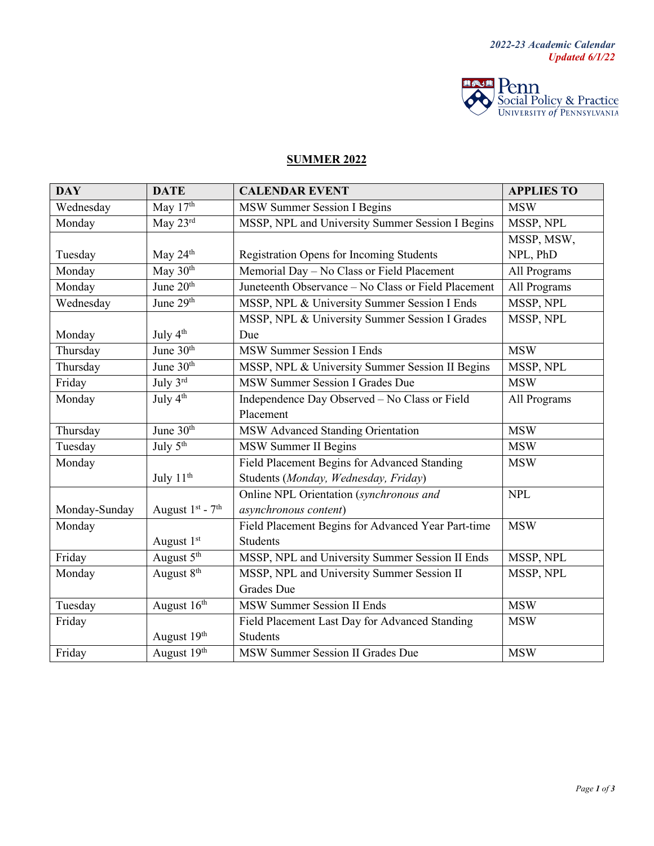

## **SUMMER 2022**

| <b>DAY</b>    | <b>DATE</b>            | <b>CALENDAR EVENT</b>                               | <b>APPLIES TO</b> |
|---------------|------------------------|-----------------------------------------------------|-------------------|
| Wednesday     | May 17th               | MSW Summer Session I Begins                         | <b>MSW</b>        |
| Monday        | May 23rd               | MSSP, NPL and University Summer Session I Begins    | MSSP, NPL         |
|               |                        |                                                     | MSSP, MSW,        |
| Tuesday       | May $24th$             | <b>Registration Opens for Incoming Students</b>     | NPL, PhD          |
| Monday        | May 30th               | Memorial Day - No Class or Field Placement          | All Programs      |
| Monday        | June 20 <sup>th</sup>  | Juneteenth Observance - No Class or Field Placement | All Programs      |
| Wednesday     | June 29th              | MSSP, NPL & University Summer Session I Ends        | MSSP, NPL         |
|               |                        | MSSP, NPL & University Summer Session I Grades      | MSSP, NPL         |
| Monday        | July 4 <sup>th</sup>   | Due                                                 |                   |
| Thursday      | June 30th              | <b>MSW Summer Session I Ends</b>                    | <b>MSW</b>        |
| Thursday      | June 30th              | MSSP, NPL & University Summer Session II Begins     | MSSP, NPL         |
| Friday        | July 3rd               | MSW Summer Session I Grades Due                     | <b>MSW</b>        |
| Monday        | July 4 <sup>th</sup>   | Independence Day Observed - No Class or Field       | All Programs      |
|               |                        | Placement                                           |                   |
| Thursday      | June 30th              | MSW Advanced Standing Orientation                   | <b>MSW</b>        |
| Tuesday       | July 5 <sup>th</sup>   | MSW Summer II Begins                                | <b>MSW</b>        |
| Monday        |                        | Field Placement Begins for Advanced Standing        | <b>MSW</b>        |
|               | July 11 <sup>th</sup>  | Students (Monday, Wednesday, Friday)                |                   |
|               |                        | Online NPL Orientation (synchronous and             | <b>NPL</b>        |
| Monday-Sunday | August $1st$ - $7th$   | asynchronous content)                               |                   |
| Monday        |                        | Field Placement Begins for Advanced Year Part-time  | <b>MSW</b>        |
|               | August 1st             | Students                                            |                   |
| Friday        | August 5 <sup>th</sup> | MSSP, NPL and University Summer Session II Ends     | MSSP, NPL         |
| Monday        | August 8 <sup>th</sup> | MSSP, NPL and University Summer Session II          | MSSP, NPL         |
|               |                        | <b>Grades</b> Due                                   |                   |
| Tuesday       | August 16th            | <b>MSW Summer Session II Ends</b>                   | <b>MSW</b>        |
| Friday        |                        | Field Placement Last Day for Advanced Standing      | <b>MSW</b>        |
|               | August 19th            | Students                                            |                   |
| Friday        | August 19th            | MSW Summer Session II Grades Due                    | <b>MSW</b>        |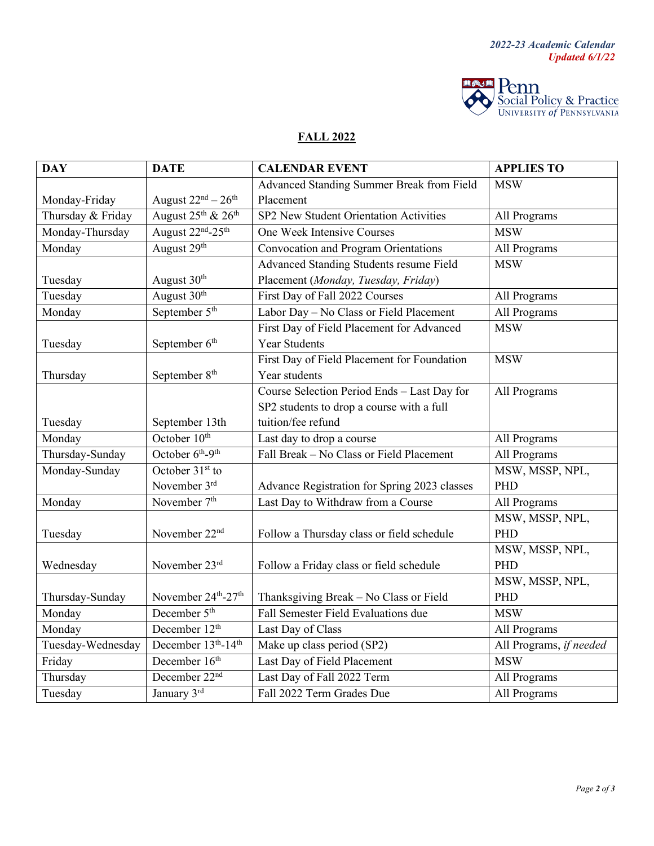

## **FALL 2022**

| <b>DAY</b>        | <b>DATE</b>                                | <b>CALENDAR EVENT</b>                        | <b>APPLIES TO</b>       |
|-------------------|--------------------------------------------|----------------------------------------------|-------------------------|
|                   |                                            | Advanced Standing Summer Break from Field    | <b>MSW</b>              |
| Monday-Friday     | August $22^{nd} - 26^{th}$                 | Placement                                    |                         |
| Thursday & Friday | August $25^{\text{th}}$ & $26^{\text{th}}$ | SP2 New Student Orientation Activities       | All Programs            |
| Monday-Thursday   | August 22 <sup>nd</sup> -25 <sup>th</sup>  | One Week Intensive Courses                   | <b>MSW</b>              |
| Monday            | August 29 <sup>th</sup>                    | Convocation and Program Orientations         | All Programs            |
|                   |                                            | Advanced Standing Students resume Field      | <b>MSW</b>              |
| Tuesday           | August $30th$                              | Placement (Monday, Tuesday, Friday)          |                         |
| Tuesday           | August 30 <sup>th</sup>                    | First Day of Fall 2022 Courses               | All Programs            |
| Monday            | September 5 <sup>th</sup>                  | Labor Day - No Class or Field Placement      | All Programs            |
|                   |                                            | First Day of Field Placement for Advanced    | <b>MSW</b>              |
| Tuesday           | September 6 <sup>th</sup>                  | <b>Year Students</b>                         |                         |
|                   |                                            | First Day of Field Placement for Foundation  | <b>MSW</b>              |
| Thursday          | September 8 <sup>th</sup>                  | Year students                                |                         |
|                   |                                            | Course Selection Period Ends - Last Day for  | All Programs            |
|                   |                                            | SP2 students to drop a course with a full    |                         |
| Tuesday           | September 13th                             | tuition/fee refund                           |                         |
| Monday            | October 10 <sup>th</sup>                   | Last day to drop a course                    | All Programs            |
| Thursday-Sunday   | October 6 <sup>th</sup> -9 <sup>th</sup>   | Fall Break - No Class or Field Placement     | All Programs            |
| Monday-Sunday     | October 31 <sup>st</sup> to                |                                              | MSW, MSSP, NPL,         |
|                   | November 3rd                               | Advance Registration for Spring 2023 classes | PHD                     |
| Monday            | November 7 <sup>th</sup>                   | Last Day to Withdraw from a Course           | All Programs            |
|                   |                                            |                                              | MSW, MSSP, NPL,         |
| Tuesday           | November 22 <sup>nd</sup>                  | Follow a Thursday class or field schedule    | PHD                     |
|                   |                                            |                                              | MSW, MSSP, NPL,         |
| Wednesday         | November 23rd                              | Follow a Friday class or field schedule      | PHD                     |
|                   |                                            |                                              | MSW, MSSP, NPL,         |
| Thursday-Sunday   | November 24th-27th                         | Thanksgiving Break - No Class or Field       | PHD                     |
| Monday            | December 5 <sup>th</sup>                   | Fall Semester Field Evaluations due          | <b>MSW</b>              |
| Monday            | December 12 <sup>th</sup>                  | Last Day of Class                            | All Programs            |
| Tuesday-Wednesday | December 13th-14th                         | Make up class period (SP2)                   | All Programs, if needed |
| Friday            | December 16 <sup>th</sup>                  | Last Day of Field Placement                  | <b>MSW</b>              |
| Thursday          | December 22 <sup>nd</sup>                  | Last Day of Fall 2022 Term                   | All Programs            |
| Tuesday           | January 3rd                                | Fall 2022 Term Grades Due                    | All Programs            |